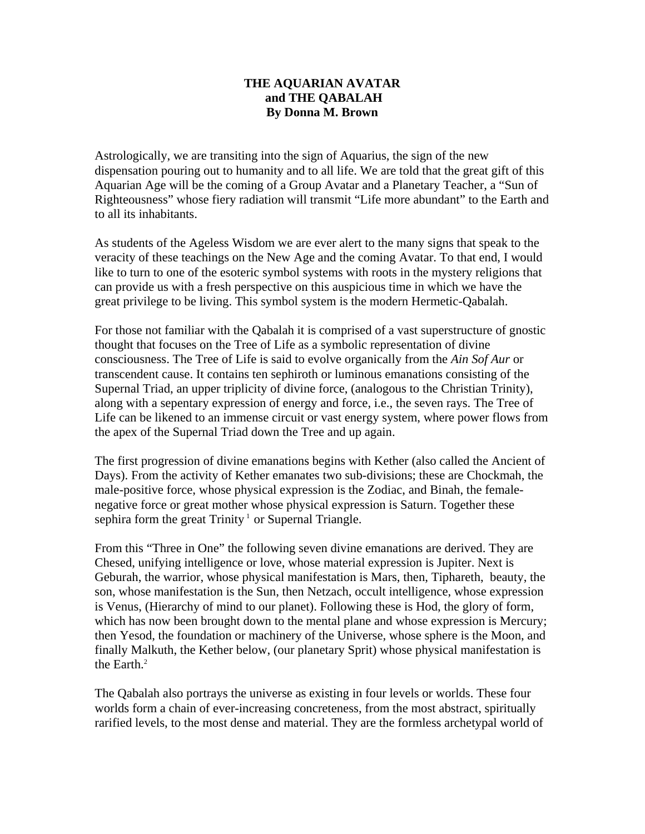## **THE AQUARIAN AVATAR and THE QABALAH By Donna M. Brown**

Astrologically, we are transiting into the sign of Aquarius, the sign of the new dispensation pouring out to humanity and to all life. We are told that the great gift of this Aquarian Age will be the coming of a Group Avatar and a Planetary Teacher, a "Sun of Righteousness" whose fiery radiation will transmit "Life more abundant" to the Earth and to all its inhabitants.

As students of the Ageless Wisdom we are ever alert to the many signs that speak to the veracity of these teachings on the New Age and the coming Avatar. To that end, I would like to turn to one of the esoteric symbol systems with roots in the mystery religions that can provide us with a fresh perspective on this auspicious time in which we have the great privilege to be living. This symbol system is the modern Hermetic-Qabalah.

For those not familiar with the Qabalah it is comprised of a vast superstructure of gnostic thought that focuses on the Tree of Life as a symbolic representation of divine consciousness. The Tree of Life is said to evolve organically from the *Ain Sof Aur* or transcendent cause. It contains ten sephiroth or luminous emanations consisting of the Supernal Triad, an upper triplicity of divine force, (analogous to the Christian Trinity), along with a sepentary expression of energy and force, i.e., the seven rays. The Tree of Life can be likened to an immense circuit or vast energy system, where power flows from the apex of the Supernal Triad down the Tree and up again.

The first progression of divine emanations begins with Kether (also called the Ancient of Days). From the activity of Kether emanates two sub-divisions; these are Chockmah, the male-positive force, whose physical expression is the Zodiac, and Binah, the femalenegative force or great mother whose physical expression is Saturn. Together these sephira form the great  $T$ rinity<sup>1</sup> or Supernal Triangle.

From this "Three in One" the following seven divine emanations are derived. They are Chesed, unifying intelligence or love, whose material expression is Jupiter. Next is Geburah, the warrior, whose physical manifestation is Mars, then, Tiphareth, beauty, the son, whose manifestation is the Sun, then Netzach, occult intelligence, whose expression is Venus, (Hierarchy of mind to our planet). Following these is Hod, the glory of form, which has now been brought down to the mental plane and whose expression is Mercury; then Yesod, the foundation or machinery of the Universe, whose sphere is the Moon, and finally Malkuth, the Kether below, (our planetary Sprit) whose physical manifestation is the Earth. $2$ 

The Qabalah also portrays the universe as existing in four levels or worlds. These four worlds form a chain of ever-increasing concreteness, from the most abstract, spiritually rarified levels, to the most dense and material. They are the formless archetypal world of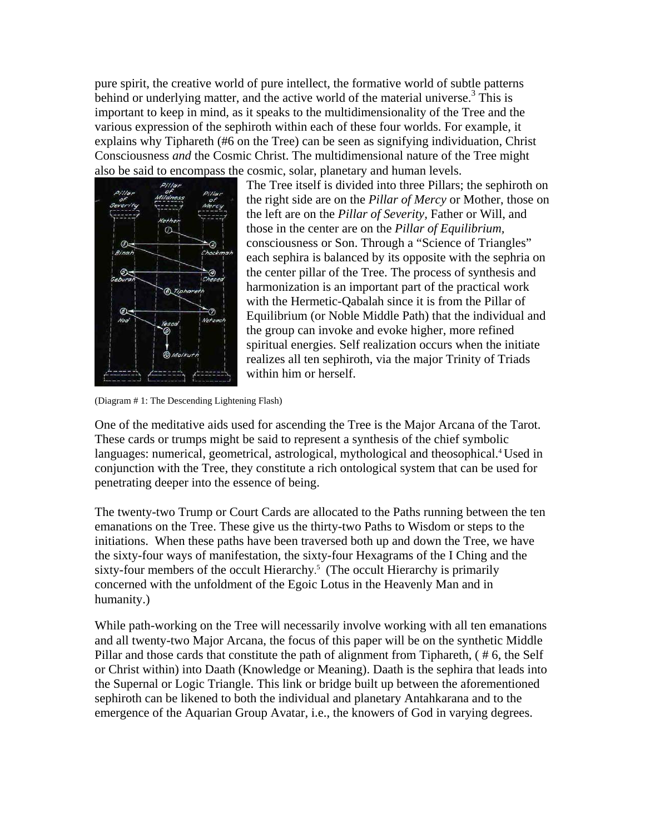pure spirit, the creative world of pure intellect, the formative world of subtle patterns behind or underlying matter, and the active world of the material universe.<sup>3</sup> This is important to keep in mind, as it speaks to the multidimensionality of the Tree and the various expression of the sephiroth within each of these four worlds. For example, it explains why Tiphareth (#6 on the Tree) can be seen as signifying individuation, Christ Consciousness *and* the Cosmic Christ. The multidimensional nature of the Tree might also be said to encompass the cosmic, solar, planetary and human levels.



The Tree itself is divided into three Pillars; the sephiroth on the right side are on the *Pillar of Mercy* or Mother, those on the left are on the *Pillar of Severity,* Father or Will, and those in the center are on the *Pillar of Equilibrium,*  consciousness or Son. Through a "Science of Triangles" each sephira is balanced by its opposite with the sephria on the center pillar of the Tree. The process of synthesis and harmonization is an important part of the practical work with the Hermetic-Qabalah since it is from the Pillar of Equilibrium (or Noble Middle Path) that the individual and the group can invoke and evoke higher, more refined spiritual energies. Self realization occurs when the initiate realizes all ten sephiroth, via the major Trinity of Triads within him or herself.

(Diagram # 1: The Descending Lightening Flash)

One of the meditative aids used for ascending the Tree is the Major Arcana of the Tarot. These cards or trumps might be said to represent a synthesis of the chief symbolic languages: numerical, geometrical, astrological, mythological and theosophical.<sup>4</sup> Used in conjunction with the Tree, they constitute a rich ontological system that can be used for penetrating deeper into the essence of being.

The twenty-two Trump or Court Cards are allocated to the Paths running between the ten emanations on the Tree. These give us the thirty-two Paths to Wisdom or steps to the initiations. When these paths have been traversed both up and down the Tree, we have the sixty-four ways of manifestation, the sixty-four Hexagrams of the I Ching and the sixty-four members of the occult Hierarchy. 5 (The occult Hierarchy is primarily concerned with the unfoldment of the Egoic Lotus in the Heavenly Man and in humanity.)

While path-working on the Tree will necessarily involve working with all ten emanations and all twenty-two Major Arcana, the focus of this paper will be on the synthetic Middle Pillar and those cards that constitute the path of alignment from Tiphareth, ( # 6, the Self or Christ within) into Daath (Knowledge or Meaning). Daath is the sephira that leads into the Supernal or Logic Triangle. This link or bridge built up between the aforementioned sephiroth can be likened to both the individual and planetary Antahkarana and to the emergence of the Aquarian Group Avatar, i.e., the knowers of God in varying degrees.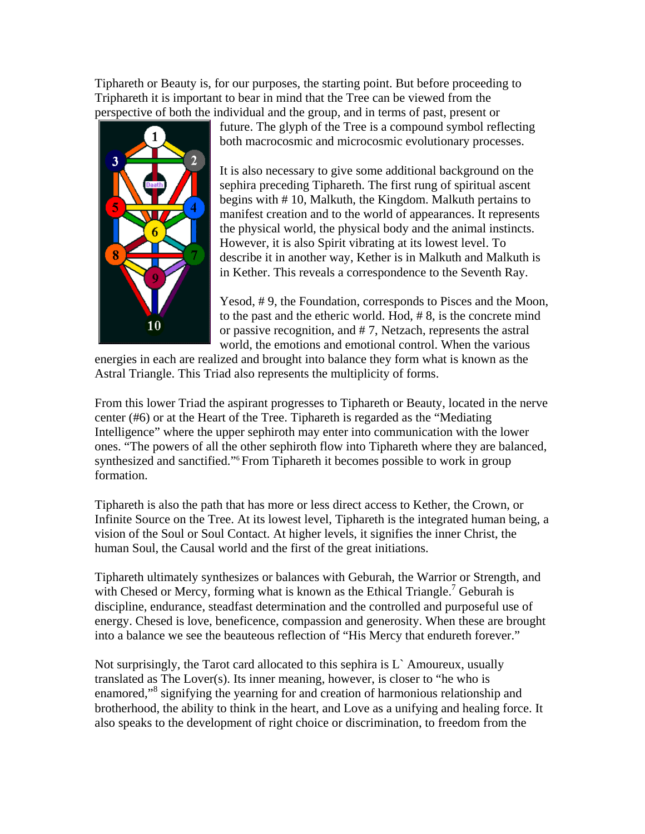Tiphareth or Beauty is, for our purposes, the starting point. But before proceeding to Triphareth it is important to bear in mind that the Tree can be viewed from the perspective of both the individual and the group, and in terms of past, present or



future. The glyph of the Tree is a compound symbol reflecting both macrocosmic and microcosmic evolutionary processes.

It is also necessary to give some additional background on the sephira preceding Tiphareth. The first rung of spiritual ascent begins with # 10, Malkuth, the Kingdom. Malkuth pertains to manifest creation and to the world of appearances. It represents the physical world, the physical body and the animal instincts. However, it is also Spirit vibrating at its lowest level. To describe it in another way, Kether is in Malkuth and Malkuth is in Kether. This reveals a correspondence to the Seventh Ray.

Yesod, # 9, the Foundation, corresponds to Pisces and the Moon, to the past and the etheric world. Hod, # 8, is the concrete mind or passive recognition, and # 7, Netzach, represents the astral world, the emotions and emotional control. When the various

energies in each are realized and brought into balance they form what is known as the Astral Triangle. This Triad also represents the multiplicity of forms.

From this lower Triad the aspirant progresses to Tiphareth or Beauty, located in the nerve center (#6) or at the Heart of the Tree. Tiphareth is regarded as the "Mediating Intelligence" where the upper sephiroth may enter into communication with the lower ones. "The powers of all the other sephiroth flow into Tiphareth where they are balanced, synthesized and sanctified."<sup>6</sup> From Tiphareth it becomes possible to work in group formation.

Tiphareth is also the path that has more or less direct access to Kether, the Crown, or Infinite Source on the Tree. At its lowest level, Tiphareth is the integrated human being, a vision of the Soul or Soul Contact. At higher levels, it signifies the inner Christ, the human Soul, the Causal world and the first of the great initiations.

Tiphareth ultimately synthesizes or balances with Geburah, the Warrior or Strength, and with Chesed or Mercy, forming what is known as the Ethical Triangle.<sup>7</sup> Geburah is discipline, endurance, steadfast determination and the controlled and purposeful use of energy. Chesed is love, beneficence, compassion and generosity. When these are brought into a balance we see the beauteous reflection of "His Mercy that endureth forever."

Not surprisingly, the Tarot card allocated to this sephira is  $L<sup>3</sup>$  Amoureux, usually translated as The Lover(s). Its inner meaning, however, is closer to "he who is enamored,"<sup>8</sup> signifying the yearning for and creation of harmonious relationship and brotherhood, the ability to think in the heart, and Love as a unifying and healing force. It also speaks to the development of right choice or discrimination, to freedom from the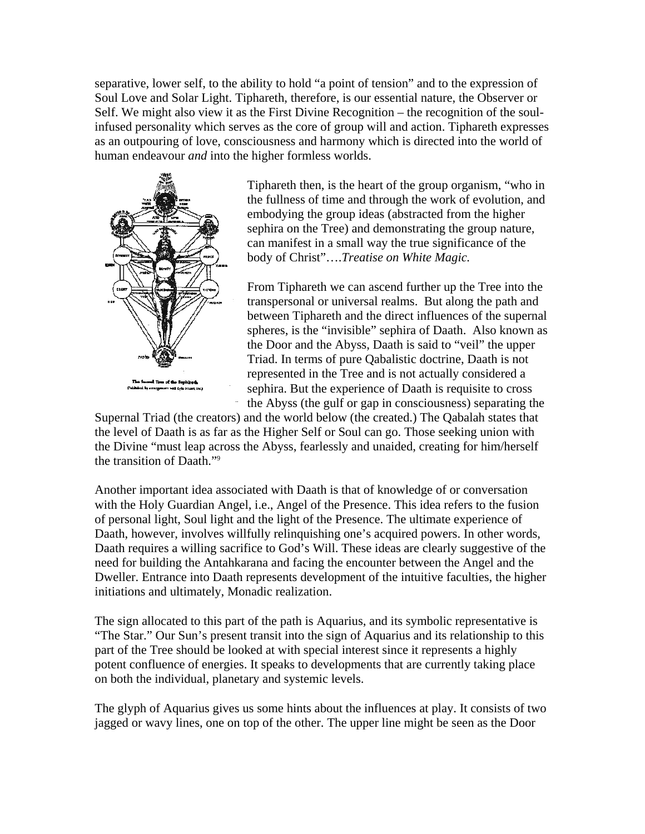separative, lower self, to the ability to hold "a point of tension" and to the expression of Soul Love and Solar Light. Tiphareth, therefore, is our essential nature, the Observer or Self. We might also view it as the First Divine Recognition – the recognition of the soulinfused personality which serves as the core of group will and action. Tiphareth expresses as an outpouring of love, consciousness and harmony which is directed into the world of human endeavour *and* into the higher formless worlds.



Tiphareth then, is the heart of the group organism, "who in the fullness of time and through the work of evolution, and embodying the group ideas (abstracted from the higher sephira on the Tree) and demonstrating the group nature, can manifest in a small way the true significance of the body of Christ"….*Treatise on White Magic.* 

From Tiphareth we can ascend further up the Tree into the transpersonal or universal realms. But along the path and between Tiphareth and the direct influences of the supernal spheres, is the "invisible" sephira of Daath. Also known as the Door and the Abyss, Daath is said to "veil" the upper Triad. In terms of pure Qabalistic doctrine, Daath is not represented in the Tree and is not actually considered a sephira. But the experience of Daath is requisite to cross the Abyss (the gulf or gap in consciousness) separating the

Supernal Triad (the creators) and the world below (the created.) The Qabalah states that the level of Daath is as far as the Higher Self or Soul can go. Those seeking union with the Divine "must leap across the Abyss, fearlessly and unaided, creating for him/herself the transition of Daath."9

Another important idea associated with Daath is that of knowledge of or conversation with the Holy Guardian Angel, i.e., Angel of the Presence. This idea refers to the fusion of personal light, Soul light and the light of the Presence. The ultimate experience of Daath, however, involves willfully relinquishing one's acquired powers. In other words, Daath requires a willing sacrifice to God's Will. These ideas are clearly suggestive of the need for building the Antahkarana and facing the encounter between the Angel and the Dweller. Entrance into Daath represents development of the intuitive faculties, the higher initiations and ultimately, Monadic realization.

The sign allocated to this part of the path is Aquarius, and its symbolic representative is "The Star." Our Sun's present transit into the sign of Aquarius and its relationship to this part of the Tree should be looked at with special interest since it represents a highly potent confluence of energies. It speaks to developments that are currently taking place on both the individual, planetary and systemic levels.

The glyph of Aquarius gives us some hints about the influences at play. It consists of two jagged or wavy lines, one on top of the other. The upper line might be seen as the Door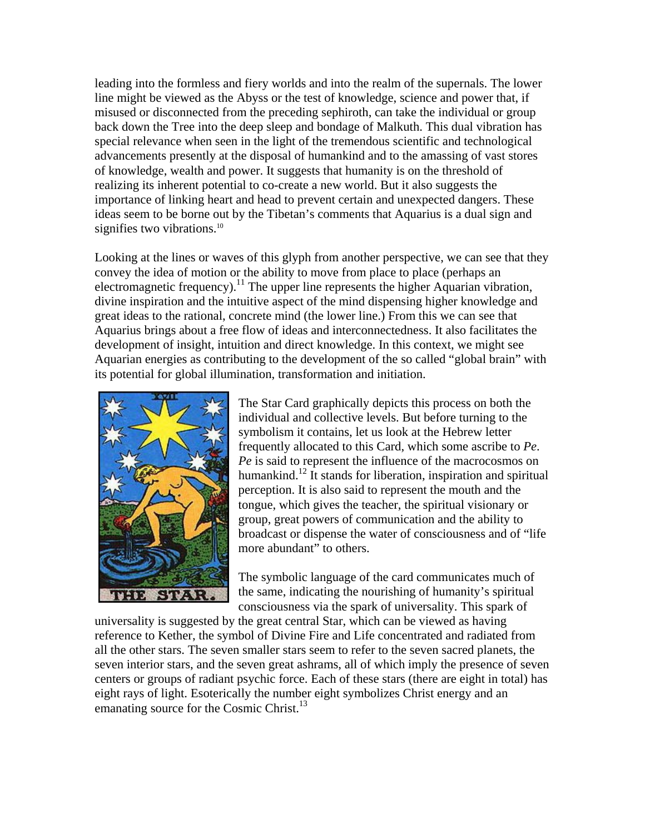leading into the formless and fiery worlds and into the realm of the supernals. The lower line might be viewed as the Abyss or the test of knowledge, science and power that, if misused or disconnected from the preceding sephiroth, can take the individual or group back down the Tree into the deep sleep and bondage of Malkuth. This dual vibration has special relevance when seen in the light of the tremendous scientific and technological advancements presently at the disposal of humankind and to the amassing of vast stores of knowledge, wealth and power. It suggests that humanity is on the threshold of realizing its inherent potential to co-create a new world. But it also suggests the importance of linking heart and head to prevent certain and unexpected dangers. These ideas seem to be borne out by the Tibetan's comments that Aquarius is a dual sign and signifies two vibrations.<sup>10</sup>

Looking at the lines or waves of this glyph from another perspective, we can see that they convey the idea of motion or the ability to move from place to place (perhaps an electromagnetic frequency).<sup>11</sup> The upper line represents the higher Aquarian vibration, divine inspiration and the intuitive aspect of the mind dispensing higher knowledge and great ideas to the rational, concrete mind (the lower line.) From this we can see that Aquarius brings about a free flow of ideas and interconnectedness. It also facilitates the development of insight, intuition and direct knowledge. In this context, we might see Aquarian energies as contributing to the development of the so called "global brain" with its potential for global illumination, transformation and initiation.



The Star Card graphically depicts this process on both the individual and collective levels. But before turning to the symbolism it contains, let us look at the Hebrew letter frequently allocated to this Card, which some ascribe to *Pe*. *Pe* is said to represent the influence of the macrocosmos on humankind.<sup>12</sup> It stands for liberation, inspiration and spiritual perception. It is also said to represent the mouth and the tongue, which gives the teacher, the spiritual visionary or group, great powers of communication and the ability to broadcast or dispense the water of consciousness and of "life more abundant" to others.

The symbolic language of the card communicates much of the same, indicating the nourishing of humanity's spiritual consciousness via the spark of universality. This spark of

universality is suggested by the great central Star, which can be viewed as having reference to Kether, the symbol of Divine Fire and Life concentrated and radiated from all the other stars. The seven smaller stars seem to refer to the seven sacred planets, the seven interior stars, and the seven great ashrams, all of which imply the presence of seven centers or groups of radiant psychic force. Each of these stars (there are eight in total) has eight rays of light. Esoterically the number eight symbolizes Christ energy and an emanating source for the Cosmic Christ.<sup>13</sup>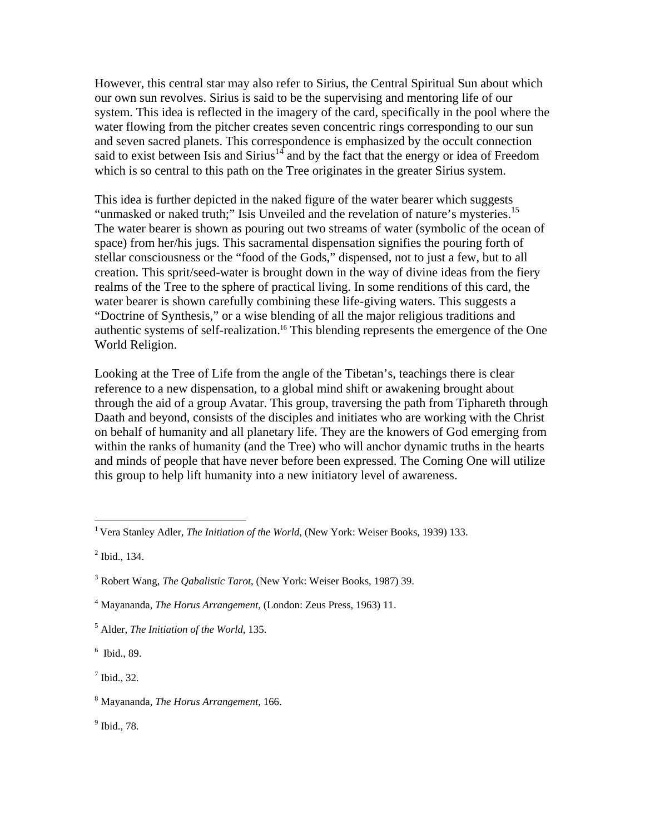However, this central star may also refer to Sirius, the Central Spiritual Sun about which our own sun revolves. Sirius is said to be the supervising and mentoring life of our system. This idea is reflected in the imagery of the card, specifically in the pool where the water flowing from the pitcher creates seven concentric rings corresponding to our sun and seven sacred planets. This correspondence is emphasized by the occult connection said to exist between Isis and Sirius<sup>14</sup> and by the fact that the energy or idea of Freedom which is so central to this path on the Tree originates in the greater Sirius system.

This idea is further depicted in the naked figure of the water bearer which suggests "unmasked or naked truth;" Isis Unveiled and the revelation of nature's mysteries.<sup>15</sup> The water bearer is shown as pouring out two streams of water (symbolic of the ocean of space) from her/his jugs. This sacramental dispensation signifies the pouring forth of stellar consciousness or the "food of the Gods," dispensed, not to just a few, but to all creation. This sprit/seed-water is brought down in the way of divine ideas from the fiery realms of the Tree to the sphere of practical living. In some renditions of this card, the water bearer is shown carefully combining these life-giving waters. This suggests a "Doctrine of Synthesis," or a wise blending of all the major religious traditions and authentic systems of self-realization.<sup>16</sup> This blending represents the emergence of the One World Religion.

Looking at the Tree of Life from the angle of the Tibetan's, teachings there is clear reference to a new dispensation, to a global mind shift or awakening brought about through the aid of a group Avatar. This group, traversing the path from Tiphareth through Daath and beyond, consists of the disciples and initiates who are working with the Christ on behalf of humanity and all planetary life. They are the knowers of God emerging from within the ranks of humanity (and the Tree) who will anchor dynamic truths in the hearts and minds of people that have never before been expressed. The Coming One will utilize this group to help lift humanity into a new initiatory level of awareness.

 $\overline{a}$ 

6 Ibid., 89.

 $<sup>7</sup>$  Ibid., 32.</sup>

9 Ibid., 78.

<sup>&</sup>lt;sup>1</sup> Vera Stanley Adler, *The Initiation of the World*, (New York: Weiser Books, 1939) 133.

 $<sup>2</sup>$  Ibid., 134.</sup>

<sup>3</sup> Robert Wang, *The Qabalistic Tarot*, (New York: Weiser Books, 1987) 39.

<sup>4</sup> Mayananda, *The Horus Arrangement,* (London: Zeus Press, 1963) 11.

<sup>5</sup> Alder, *The Initiation of the World,* 135.

<sup>8</sup> Mayananda*, The Horus Arrangement*, 166.